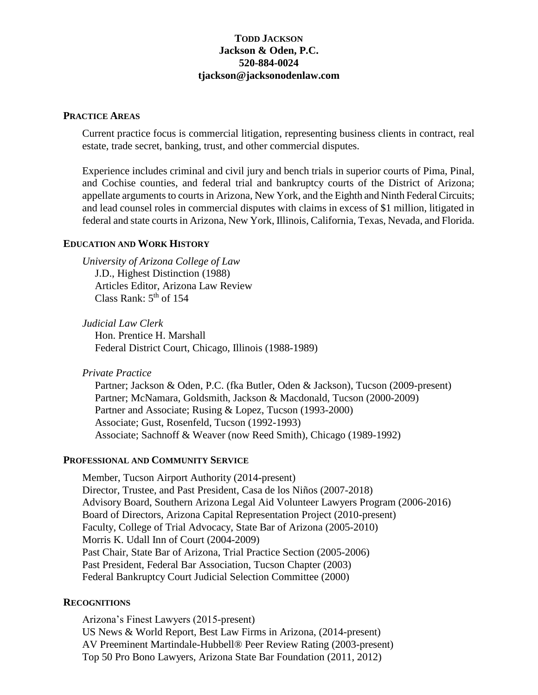# **TODD JACKSON Jackson & Oden, P.C. 520-884-0024 tjackson@jacksonodenlaw.com**

#### **PRACTICE AREAS**

Current practice focus is commercial litigation, representing business clients in contract, real estate, trade secret, banking, trust, and other commercial disputes.

Experience includes criminal and civil jury and bench trials in superior courts of Pima, Pinal, and Cochise counties, and federal trial and bankruptcy courts of the District of Arizona; appellate arguments to courts in Arizona, New York, and the Eighth and Ninth Federal Circuits; and lead counsel roles in commercial disputes with claims in excess of \$1 million, litigated in federal and state courts in Arizona, New York, Illinois, California, Texas, Nevada, and Florida.

# **EDUCATION AND WORK HISTORY**

*University of Arizona College of Law* J.D., Highest Distinction (1988) Articles Editor, Arizona Law Review Class Rank:  $5<sup>th</sup>$  of 154

*Judicial Law Clerk* Hon. Prentice H. Marshall Federal District Court, Chicago, Illinois (1988-1989)

*Private Practice*

Partner; Jackson & Oden, P.C. (fka Butler, Oden & Jackson), Tucson (2009-present) Partner; McNamara, Goldsmith, Jackson & Macdonald, Tucson (2000-2009) Partner and Associate; Rusing & Lopez, Tucson (1993-2000) Associate; Gust, Rosenfeld, Tucson (1992-1993) Associate; Sachnoff & Weaver (now Reed Smith), Chicago (1989-1992)

## **PROFESSIONAL AND COMMUNITY SERVICE**

Member, Tucson Airport Authority (2014-present) Director, Trustee, and Past President, Casa de los Niños (2007-2018) Advisory Board, Southern Arizona Legal Aid Volunteer Lawyers Program (2006-2016) Board of Directors, Arizona Capital Representation Project (2010-present) Faculty, College of Trial Advocacy, State Bar of Arizona (2005-2010) Morris K. Udall Inn of Court (2004-2009) Past Chair, State Bar of Arizona, Trial Practice Section (2005-2006) Past President, Federal Bar Association, Tucson Chapter (2003) Federal Bankruptcy Court Judicial Selection Committee (2000)

### **RECOGNITIONS**

Arizona's Finest Lawyers (2015-present) US News & World Report, Best Law Firms in Arizona, (2014-present) AV Preeminent Martindale-Hubbell® Peer Review Rating (2003-present) Top 50 Pro Bono Lawyers, Arizona State Bar Foundation (2011, 2012)